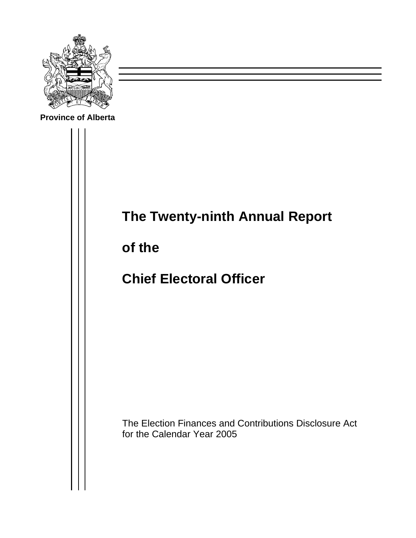

**Province of Alberta**



**of the** 

**Chief Electoral Officer** 

The Election Finances and Contributions Disclosure Act for the Calendar Year 2005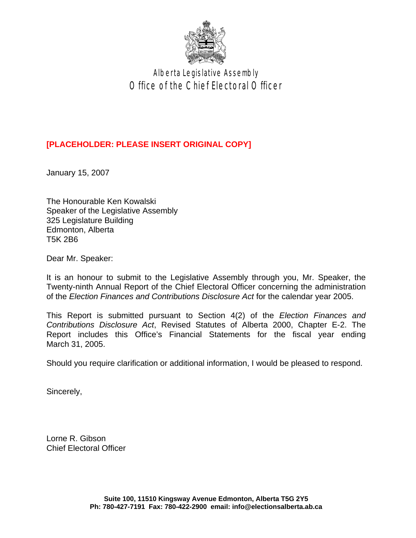

Alberta Legislative Assembly Office of the Chief Electoral Officer

### **[PLACEHOLDER: PLEASE INSERT ORIGINAL COPY]**

January 15, 2007

The Honourable Ken Kowalski Speaker of the Legislative Assembly 325 Legislature Building Edmonton, Alberta T5K 2B6

Dear Mr. Speaker:

It is an honour to submit to the Legislative Assembly through you, Mr. Speaker, the Twenty-ninth Annual Report of the Chief Electoral Officer concerning the administration of the *Election Finances and Contributions Disclosure Act* for the calendar year 2005.

This Report is submitted pursuant to Section 4(2) of the *Election Finances and Contributions Disclosure Act*, Revised Statutes of Alberta 2000, Chapter E-2. The Report includes this Office's Financial Statements for the fiscal year ending March 31, 2005.

Should you require clarification or additional information, I would be pleased to respond.

Sincerely,

Lorne R. Gibson Chief Electoral Officer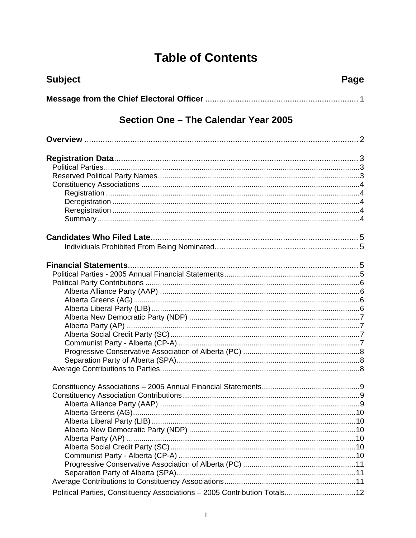## **Table of Contents**

| <b>Subject</b>                                                            | Page |
|---------------------------------------------------------------------------|------|
|                                                                           |      |
| Section One – The Calendar Year 2005                                      |      |
|                                                                           |      |
|                                                                           |      |
|                                                                           |      |
|                                                                           |      |
| Political Parties, Constituency Associations - 2005 Contribution Totals12 |      |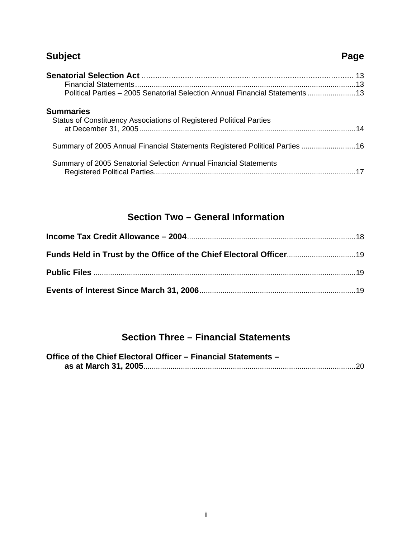## **Subject Page 2018**

| Political Parties - 2005 Senatorial Selection Annual Financial Statements  13           |  |
|-----------------------------------------------------------------------------------------|--|
| <b>Summaries</b><br>Status of Constituency Associations of Registered Political Parties |  |
| Summary of 2005 Annual Financial Statements Registered Political Parties  16            |  |
| Summary of 2005 Senatorial Selection Annual Financial Statements                        |  |

## **Section Two – General Information**

## **Section Three – Financial Statements**

| Office of the Chief Electoral Officer - Financial Statements - |  |
|----------------------------------------------------------------|--|
|                                                                |  |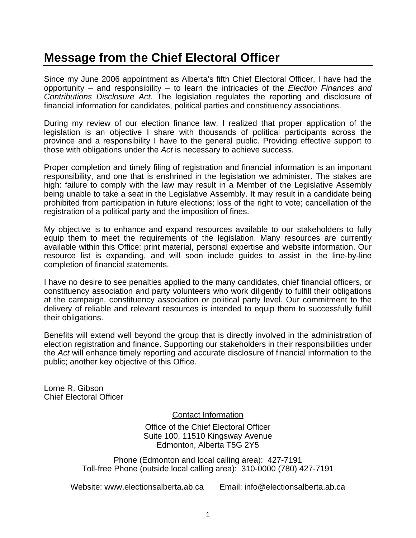## **Message from the Chief Electoral Officer**

Since my June 2006 appointment as Alberta's fifth Chief Electoral Officer, I have had the opportunity – and responsibility – to learn the intricacies of the *Election Finances and Contributions Disclosure Act.* The legislation regulates the reporting and disclosure of financial information for candidates, political parties and constituency associations.

During my review of our election finance law, I realized that proper application of the legislation is an objective I share with thousands of political participants across the province and a responsibility I have to the general public. Providing effective support to those with obligations under the *Act* is necessary to achieve success.

Proper completion and timely filing of registration and financial information is an important responsibility, and one that is enshrined in the legislation we administer. The stakes are high: failure to comply with the law may result in a Member of the Legislative Assembly being unable to take a seat in the Legislative Assembly. It may result in a candidate being prohibited from participation in future elections; loss of the right to vote; cancellation of the registration of a political party and the imposition of fines.

My objective is to enhance and expand resources available to our stakeholders to fully equip them to meet the requirements of the legislation. Many resources are currently available within this Office: print material, personal expertise and website information. Our resource list is expanding, and will soon include guides to assist in the line-by-line completion of financial statements.

I have no desire to see penalties applied to the many candidates, chief financial officers, or constituency association and party volunteers who work diligently to fulfill their obligations at the campaign, constituency association or political party level. Our commitment to the delivery of reliable and relevant resources is intended to equip them to successfully fulfill their obligations.

Benefits will extend well beyond the group that is directly involved in the administration of election registration and finance. Supporting our stakeholders in their responsibilities under the *Act* will enhance timely reporting and accurate disclosure of financial information to the public; another key objective of this Office.

Lorne R. Gibson Chief Electoral Officer

Contact Information

Office of the Chief Electoral Officer Suite 100, 11510 Kingsway Avenue Edmonton, Alberta T5G 2Y5

Phone (Edmonton and local calling area): 427-7191 Toll-free Phone (outside local calling area): 310-0000 (780) 427-7191

Website: [www.electionsalberta.ab.ca](http://www.electionsalberta.ab.ca/) Email: [info@electionsalberta.ab.ca](mailto:info@electionsalberta.ab.ca)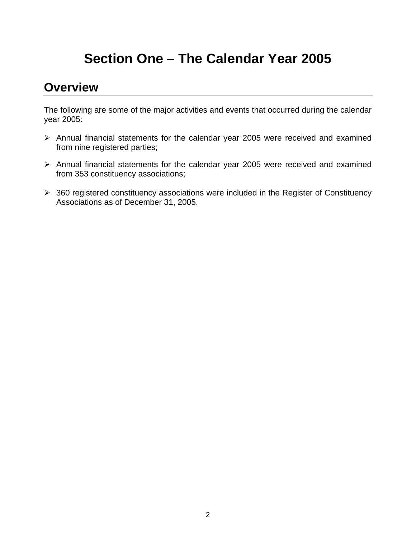# **Section One – The Calendar Year 2005**

## **Overview**

The following are some of the major activities and events that occurred during the calendar year 2005:

- ¾ Annual financial statements for the calendar year 2005 were received and examined from nine registered parties;
- ¾ Annual financial statements for the calendar year 2005 were received and examined from 353 constituency associations;
- $\geq$  360 registered constituency associations were included in the Register of Constituency Associations as of December 31, 2005.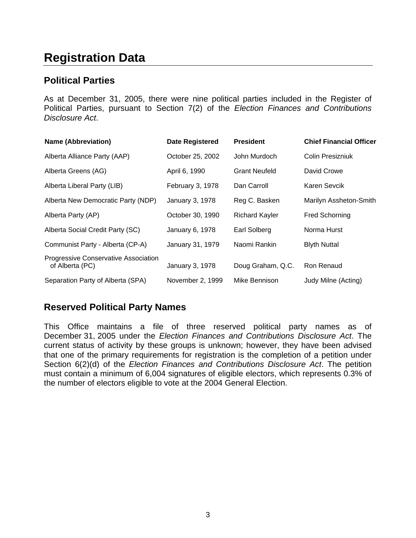## **egistration Data R**

### **Political Parties**

As at December 31, 2005, there were nine political parties included in the Register of Political Parties, pursuant to Section 7(2) of the *Election Finances and Contributions Disclosure Act*.

| <b>Name (Abbreviation)</b>                              | <b>Date Registered</b> | <b>President</b>      | <b>Chief Financial Officer</b> |
|---------------------------------------------------------|------------------------|-----------------------|--------------------------------|
| Alberta Alliance Party (AAP)                            | October 25, 2002       | John Murdoch          | Colin Presizniuk               |
| Alberta Greens (AG)                                     | April 6, 1990          | <b>Grant Neufeld</b>  | David Crowe                    |
| Alberta Liberal Party (LIB)                             | February 3, 1978       | Dan Carroll           | Karen Sevcik                   |
| Alberta New Democratic Party (NDP)                      | January 3, 1978        | Reg C. Basken         | Marilyn Assheton-Smith         |
| Alberta Party (AP)                                      | October 30, 1990       | <b>Richard Kayler</b> | <b>Fred Schorning</b>          |
| Alberta Social Credit Party (SC)                        | January 6, 1978        | <b>Earl Solberg</b>   | Norma Hurst                    |
| Communist Party - Alberta (CP-A)                        | January 31, 1979       | Naomi Rankin          | <b>Blyth Nuttal</b>            |
| Progressive Conservative Association<br>of Alberta (PC) | January 3, 1978        | Doug Graham, Q.C.     | Ron Renaud                     |
| Separation Party of Alberta (SPA)                       | November 2, 1999       | Mike Bennison         | Judy Milne (Acting)            |

## **Reserved Political Party Names**

This Office maintains a file of three reserved political party names as of December 31, 2005 under the *Election Finances and Contributions Disclosure Act*. The current status of activity by these groups is unknown; however, they have been advised that one of the primary requirements for registration is the completion of a petition under Section 6(2)(d) of the *Election Finances and Contributions Disclosure Act*. The petition must contain a minimum of 6,004 signatures of eligible electors, which represents 0.3% of the number of electors eligible to vote at the 2004 General Election.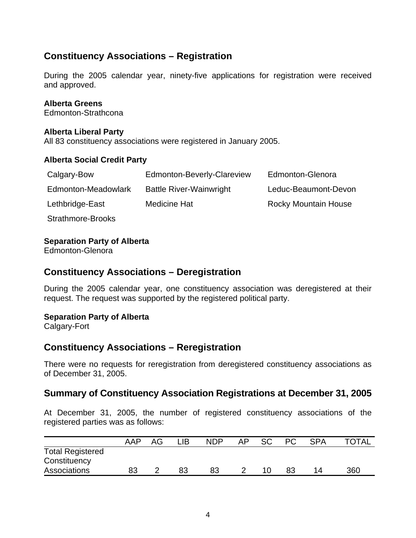## **Constituency Associations – Registration**

During the 2005 calendar year, ninety-five applications for registration were received and approved.

### **Alberta Greens**

Edmonton-Strathcona

### **Alberta Liberal Party**

All 83 constituency associations were registered in January 2005.

### **Alberta Social Credit Party**

| Calgary-Bow         | Edmonton-Beverly-Clareview     | Edmonton-Glenora            |
|---------------------|--------------------------------|-----------------------------|
| Edmonton-Meadowlark | <b>Battle River-Wainwright</b> | Leduc-Beaumont-Devon        |
| Lethbridge-East     | <b>Medicine Hat</b>            | <b>Rocky Mountain House</b> |
| Strathmore-Brooks   |                                |                             |

### **Separation Party of Alberta**

Edmonton-Glenora

### **Constituency Associations – Deregistration**

During the 2005 calendar year, one constituency association was deregistered at their request. The request was supported by the registered political party.

### **Separation Party of Alberta**

Calgary-Fort

### **Constituency Associations – Reregistration**

There were no requests for reregistration from deregistered constituency associations as of December 31, 2005.

### **Summary of Constituency Association Registrations at December 31, 2005**

At December 31, 2005, the number of registered constituency associations of the registered parties was as follows:

|                                                         | <b>AAP</b> | AG | ∟lB | <b>NDP</b> | AP | <b>SC</b> | <b>PC</b> | <b>SPA</b> | <b>TOTAL</b> |
|---------------------------------------------------------|------------|----|-----|------------|----|-----------|-----------|------------|--------------|
| <b>Total Registered</b><br>Constituency<br>Associations | 83         |    | 83  | 83         |    |           | 83        | 14         | 360          |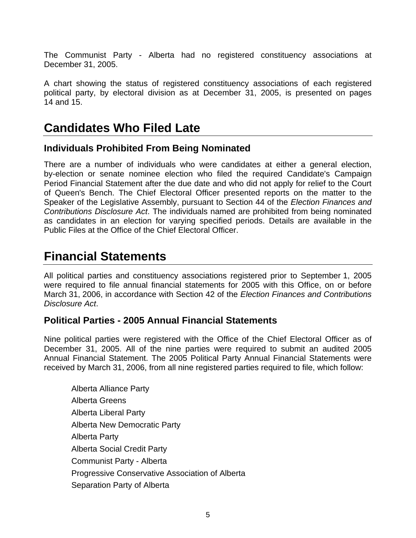The Communist Party - Alberta had no registered constituency associations at December 31, 2005.

A chart showing the status of registered constituency associations of each registered political party, by electoral division as at December 31, 2005, is presented on pages 14 and 15.

## **Candidates Who Filed Late**

### **Individuals Prohibited From Being Nominated**

There are a number of individuals who were candidates at either a general election, by-election or senate nominee election who filed the required Candidate's Campaign Period Financial Statement after the due date and who did not apply for relief to the Court of Queen's Bench. The Chief Electoral Officer presented reports on the matter to the Speaker of the Legislative Assembly, pursuant to Section 44 of the *Election Finances and Contributions Disclosure Act*. The individuals named are prohibited from being nominated as candidates in an election for varying specified periods. Details are available in the Public Files at the Office of the Chief Electoral Officer.

## **Financial Statements**

All political parties and constituency associations registered prior to September 1, 2005 were required to file annual financial statements for 2005 with this Office, on or before March 31, 2006, in accordance with Section 42 of the *Election Finances and Contributions Disclosure Act*.

### **Political Parties - 2005 Annual Financial Statements**

Nine political parties were registered with the Office of the Chief Electoral Officer as of December 31, 2005. All of the nine parties were required to submit an audited 2005 Annual Financial Statement. The 2005 Political Party Annual Financial Statements were received by March 31, 2006, from all nine registered parties required to file, which follow:

Alberta Alliance Party Alberta Greens Alberta Liberal Party Alberta New Democratic Party Alberta Party Alberta Social Credit Party Communist Party - Alberta Progressive Conservative Association of Alberta Separation Party of Alberta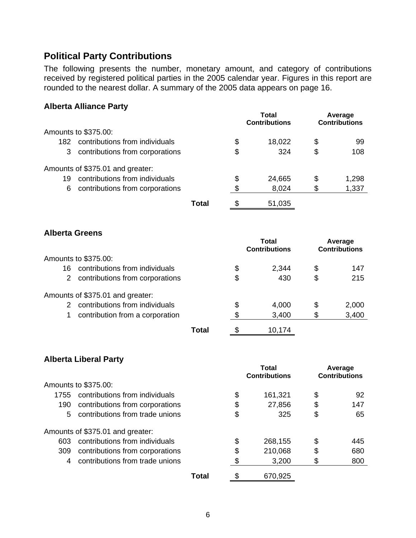### **Political Party Contributions**

The following presents the number, monetary amount, and category of contributions received by registered political parties in the 2005 calendar year. Figures in this report are rounded to the nearest dollar. A summary of the 2005 data appears on page 16.

### **Alberta Alliance Party**

|     |                                  |       | Total<br><b>Contributions</b> |        | Average<br><b>Contributions</b> |       |
|-----|----------------------------------|-------|-------------------------------|--------|---------------------------------|-------|
|     | Amounts to \$375.00:             |       |                               |        |                                 |       |
| 182 | contributions from individuals   |       | \$                            | 18,022 | \$                              | 99    |
| 3   | contributions from corporations  |       | \$                            | 324    | \$                              | 108   |
|     | Amounts of \$375.01 and greater: |       |                               |        |                                 |       |
| 19  | contributions from individuals   |       | \$                            | 24,665 | S                               | 1,298 |
| 6   | contributions from corporations  |       | S.                            | 8,024  | \$                              | 1,337 |
|     |                                  | Total | \$                            | 51,035 |                                 |       |

### **Alberta Greens**

|               |                                  |       |    | Total<br><b>Contributions</b> | Average<br><b>Contributions</b> |
|---------------|----------------------------------|-------|----|-------------------------------|---------------------------------|
|               | Amounts to \$375.00:             |       |    |                               |                                 |
| 16            | contributions from individuals   |       | \$ | 2,344                         | \$<br>147                       |
| 2             | contributions from corporations  |       | \$ | 430                           | \$<br>215                       |
|               | Amounts of \$375.01 and greater: |       |    |                               |                                 |
| $\mathcal{P}$ | contributions from individuals   |       | \$ | 4,000                         | \$<br>2,000                     |
|               | contribution from a corporation  |       | S  | 3,400                         | \$<br>3,400                     |
|               |                                  | Total |    | 10,174                        |                                 |

### **Alberta Liberal Party**

|      |                                  |       | Total<br><b>Contributions</b> |         | Average<br><b>Contributions</b> |     |
|------|----------------------------------|-------|-------------------------------|---------|---------------------------------|-----|
|      | Amounts to \$375.00:             |       |                               |         |                                 |     |
| 1755 | contributions from individuals   |       | \$                            | 161,321 | \$                              | 92  |
| 190  | contributions from corporations  |       | \$                            | 27,856  | \$                              | 147 |
| 5.   | contributions from trade unions  |       | \$                            | 325     | \$                              | 65  |
|      | Amounts of \$375.01 and greater: |       |                               |         |                                 |     |
| 603  | contributions from individuals   |       | \$                            | 268,155 | \$                              | 445 |
| 309  | contributions from corporations  |       | \$                            | 210,068 | \$                              | 680 |
| 4    | contributions from trade unions  |       |                               | 3,200   | \$                              | 800 |
|      |                                  | Total |                               | 670,925 |                                 |     |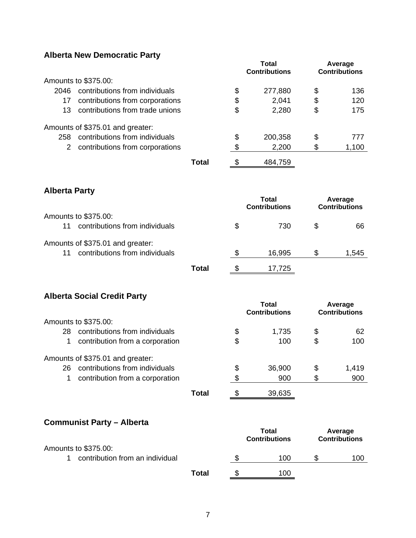## **Alberta New Democratic Party**

|                      | Amounts to \$375.00:                                               |              |               | <b>Total</b><br><b>Contributions</b> |          | Average<br><b>Contributions</b> |
|----------------------|--------------------------------------------------------------------|--------------|---------------|--------------------------------------|----------|---------------------------------|
| 2046                 | contributions from individuals                                     |              | \$            | 277,880                              | \$       | 136                             |
| 17                   | contributions from corporations                                    |              | \$            | 2,041                                | \$       | 120                             |
| 13                   | contributions from trade unions                                    |              | \$            | 2,280                                | \$       | 175                             |
|                      | Amounts of \$375.01 and greater:                                   |              |               |                                      |          |                                 |
| 258                  | contributions from individuals                                     |              | \$            | 200,358                              | \$       | 777                             |
| $\overline{2}$       | contributions from corporations                                    |              | \$            | 2,200                                | \$       | 1,100                           |
|                      |                                                                    | <b>Total</b> | \$            | 484,759                              |          |                                 |
| <b>Alberta Party</b> |                                                                    |              |               |                                      |          |                                 |
|                      |                                                                    |              |               | <b>Total</b><br><b>Contributions</b> |          | Average<br><b>Contributions</b> |
|                      | Amounts to \$375.00:                                               |              |               |                                      |          |                                 |
| 11                   | contributions from individuals                                     |              | \$            | 730                                  | \$       | 66                              |
|                      | Amounts of \$375.01 and greater:                                   |              |               |                                      |          |                                 |
| 11                   | contributions from individuals                                     |              | \$            | 16,995                               | \$       | 1,545                           |
|                      |                                                                    | <b>Total</b> | $\frac{1}{2}$ | 17,725                               |          |                                 |
|                      | <b>Alberta Social Credit Party</b>                                 |              |               |                                      |          |                                 |
|                      |                                                                    |              |               | <b>Total</b><br><b>Contributions</b> |          | Average<br><b>Contributions</b> |
|                      | Amounts to \$375.00:<br>contributions from individuals             |              |               |                                      |          |                                 |
| 28<br>$\mathbf{1}$   | contribution from a corporation                                    |              | \$<br>\$      | 1,735<br>100                         | \$<br>\$ | 62<br>100                       |
|                      |                                                                    |              |               |                                      |          |                                 |
| 26                   | Amounts of \$375.01 and greater:<br>contributions from individuals |              | \$            | 36,900                               | \$       | 1,419                           |
| 1                    | contribution from a corporation                                    |              | \$            | 900                                  | \$       | 900                             |
|                      |                                                                    | <b>Total</b> | \$            | 39,635                               |          |                                 |
|                      |                                                                    |              |               |                                      |          |                                 |
|                      | <b>Communist Party - Alberta</b>                                   |              |               |                                      |          |                                 |
|                      |                                                                    |              |               | <b>Total</b><br><b>Contributions</b> |          | Average<br><b>Contributions</b> |
|                      | Amounts to \$375.00:                                               |              |               |                                      |          |                                 |
| 1                    | contribution from an individual                                    |              | \$            | 100                                  | \$       | 100                             |
|                      |                                                                    | <b>Total</b> | \$            | 100                                  |          |                                 |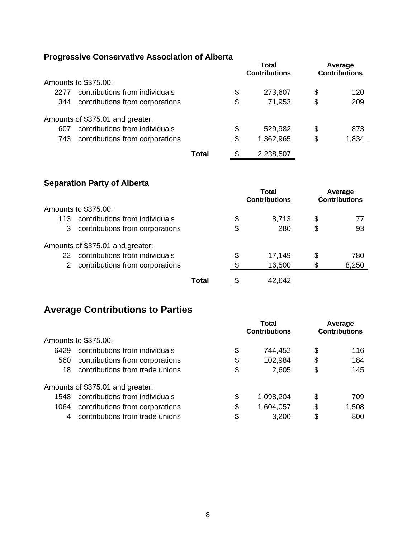## **Progressive Conservative Association of Alberta**

|      | <u>I TUYIGSSIYG ODIISGI YALIYG ASSUCIALIUII UI AINGI LA</u> |       |                               |           |                                 |       |
|------|-------------------------------------------------------------|-------|-------------------------------|-----------|---------------------------------|-------|
|      |                                                             |       | Total<br><b>Contributions</b> |           | Average<br><b>Contributions</b> |       |
|      | Amounts to \$375.00:                                        |       |                               |           |                                 |       |
| 2277 | contributions from individuals                              |       | \$                            | 273,607   | \$                              | 120   |
| 344  | contributions from corporations                             |       | \$                            | 71,953    | \$                              | 209   |
|      | Amounts of \$375.01 and greater:                            |       |                               |           |                                 |       |
| 607  | contributions from individuals                              |       | \$                            | 529,982   | \$                              | 873   |
| 743  | contributions from corporations                             |       | \$                            | 1,362,965 | \$                              | 1,834 |
|      |                                                             | Total | \$                            | 2,238,507 |                                 |       |

### **Separation Party of Alberta**

|     |                                  |       | Total<br><b>Contributions</b> |        | Average<br><b>Contributions</b> |       |
|-----|----------------------------------|-------|-------------------------------|--------|---------------------------------|-------|
|     | Amounts to \$375.00:             |       |                               |        |                                 |       |
| 113 | contributions from individuals   |       | \$                            | 8,713  | \$                              |       |
| 3   | contributions from corporations  |       | \$                            | 280    | \$                              | 93    |
|     | Amounts of \$375.01 and greater: |       |                               |        |                                 |       |
| 22. | contributions from individuals   |       | \$                            | 17,149 | \$                              | 780   |
| 2   | contributions from corporations  |       | \$                            | 16,500 | S                               | 8,250 |
|     |                                  | Total |                               | 42,642 |                                 |       |

## **Average Contributions to Parties**

|      |                                  | Total<br><b>Contributions</b> |           | Average<br><b>Contributions</b> |       |
|------|----------------------------------|-------------------------------|-----------|---------------------------------|-------|
|      | Amounts to \$375.00:             |                               |           |                                 |       |
| 6429 | contributions from individuals   | \$                            | 744,452   | \$                              | 116   |
| 560  | contributions from corporations  | \$                            | 102,984   | \$                              | 184   |
| 18   | contributions from trade unions  | \$                            | 2,605     | \$                              | 145   |
|      | Amounts of \$375.01 and greater: |                               |           |                                 |       |
| 1548 | contributions from individuals   | \$                            | 1,098,204 | \$                              | 709   |
| 1064 | contributions from corporations  | \$                            | 1,604,057 | \$                              | 1,508 |
| 4    | contributions from trade unions  | \$                            | 3,200     | \$                              | 800   |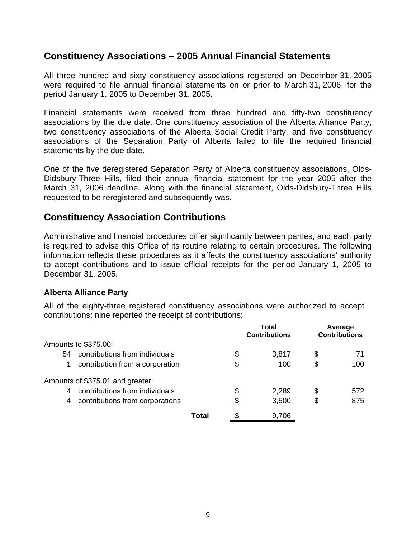### **Constituency Associations – 2005 Annual Financial Statements**

All three hundred and sixty constituency associations registered on December 31, 2005 were required to file annual financial statements on or prior to March 31, 2006, for the period January 1, 2005 to December 31, 2005.

Financial statements were received from three hundred and fifty-two constituency associations by the due date. One constituency association of the Alberta Alliance Party, two constituency associations of the Alberta Social Credit Party, and five constituency associations of the Separation Party of Alberta failed to file the required financial statements by the due date.

One of the five deregistered Separation Party of Alberta constituency associations, Olds-Didsbury-Three Hills, filed their annual financial statement for the year 2005 after the March 31, 2006 deadline. Along with the financial statement, Olds-Didsbury-Three Hills requested to be reregistered and subsequently was.

### **Constituency Association Contributions**

Administrative and financial procedures differ significantly between parties, and each party is required to advise this Office of its routine relating to certain procedures. The following information reflects these procedures as it affects the constituency associations' authority to accept contributions and to issue official receipts for the period January 1, 2005 to December 31, 2005.

### **Alberta Alliance Party**

All of the eighty-three registered constituency associations were authorized to accept contributions; nine reported the receipt of contributions:

|    |                                  |       | Total<br><b>Contributions</b> |       | Average<br><b>Contributions</b> |     |
|----|----------------------------------|-------|-------------------------------|-------|---------------------------------|-----|
|    | Amounts to \$375.00:             |       |                               |       |                                 |     |
| 54 | contributions from individuals   |       | \$                            | 3,817 | \$                              |     |
| 1  | contribution from a corporation  |       | \$                            | 100   | \$                              | 100 |
|    | Amounts of \$375.01 and greater: |       |                               |       |                                 |     |
| 4  | contributions from individuals   |       | \$                            | 2,289 | \$                              | 572 |
| 4  | contributions from corporations  |       | \$                            | 3,500 | \$                              | 875 |
|    |                                  | Total | \$                            | 9,706 |                                 |     |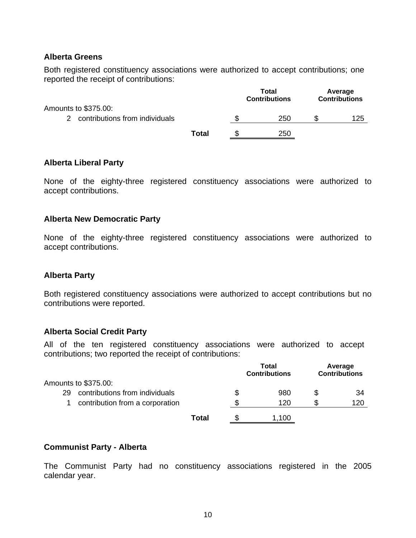### **Alberta Greens**

Both registered constituency associations were authorized to accept contributions; one reported the receipt of contributions:

|                                  |              | Total<br><b>Contributions</b> |  | Average<br><b>Contributions</b> |
|----------------------------------|--------------|-------------------------------|--|---------------------------------|
| Amounts to \$375.00:             |              |                               |  |                                 |
| 2 contributions from individuals |              | 250                           |  | 125                             |
|                                  | <b>Total</b> | 250                           |  |                                 |

### **Alberta Liberal Party**

None of the eighty-three registered constituency associations were authorized to accept contributions.

### **Alberta New Democratic Party**

None of the eighty-three registered constituency associations were authorized to accept contributions.

### **Alberta Party**

Both registered constituency associations were authorized to accept contributions but no contributions were reported.

### **Alberta Social Credit Party**

All of the ten registered constituency associations were authorized to accept contributions; two reported the receipt of contributions:

|    |                                 |       | Total<br><b>Contributions</b> |       | Average<br><b>Contributions</b> |     |
|----|---------------------------------|-------|-------------------------------|-------|---------------------------------|-----|
|    | Amounts to \$375.00:            |       |                               |       |                                 |     |
| 29 | contributions from individuals  |       | \$                            | 980   | S                               | 34  |
|    | contribution from a corporation |       | ß.                            | 120   |                                 | 120 |
|    |                                 | Total |                               | 1,100 |                                 |     |

### **Communist Party - Alberta**

The Communist Party had no constituency associations registered in the 2005 calendar year.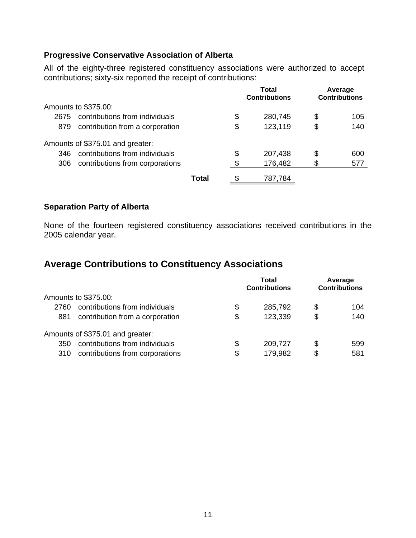### **Progressive Conservative Association of Alberta**

All of the eighty-three registered constituency associations were authorized to accept contributions; sixty-six reported the receipt of contributions:

|      |                                  |       | Total<br><b>Contributions</b> |         | Average<br><b>Contributions</b> |     |
|------|----------------------------------|-------|-------------------------------|---------|---------------------------------|-----|
|      | Amounts to \$375.00:             |       |                               |         |                                 |     |
| 2675 | contributions from individuals   |       | \$                            | 280,745 | \$                              | 105 |
| 879  | contribution from a corporation  |       | \$                            | 123,119 | \$                              | 140 |
|      | Amounts of \$375.01 and greater: |       |                               |         |                                 |     |
| 346  | contributions from individuals   |       | \$                            | 207,438 | \$                              | 600 |
| 306  | contributions from corporations  |       | \$                            | 176,482 | \$                              | 577 |
|      |                                  | Total |                               | 787,784 |                                 |     |

### **Separation Party of Alberta**

None of the fourteen registered constituency associations received contributions in the 2005 calendar year.

## **Average Contributions to Constituency Associations**

|      |                                  | Total<br><b>Contributions</b> |         | Average<br><b>Contributions</b> |     |
|------|----------------------------------|-------------------------------|---------|---------------------------------|-----|
|      | Amounts to \$375.00:             |                               |         |                                 |     |
| 2760 | contributions from individuals   | \$                            | 285,792 | \$                              | 104 |
| 881  | contribution from a corporation  | \$                            | 123,339 | \$                              | 140 |
|      | Amounts of \$375.01 and greater: |                               |         |                                 |     |
| 350  | contributions from individuals   | \$                            | 209,727 | \$                              | 599 |
| 310  | contributions from corporations  | \$                            | 179,982 | S                               | 581 |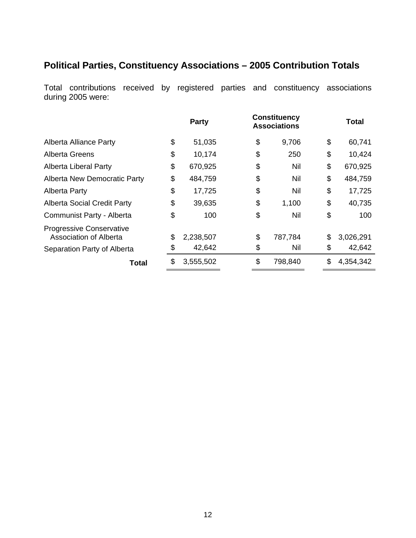## **Political Parties, Constituency Associations – 2005 Contribution Totals**

Total contributions received by registered parties and constituency associations during 2005 were:

|                                                           |    | <b>Party</b> | <b>Constituency</b><br><b>Associations</b> | Total           |
|-----------------------------------------------------------|----|--------------|--------------------------------------------|-----------------|
| <b>Alberta Alliance Party</b>                             | \$ | 51,035       | \$<br>9,706                                | \$<br>60,741    |
| <b>Alberta Greens</b>                                     | \$ | 10,174       | \$<br>250                                  | \$<br>10,424    |
| Alberta Liberal Party                                     | \$ | 670,925      | \$<br>Nil                                  | \$<br>670,925   |
| <b>Alberta New Democratic Party</b>                       | \$ | 484,759      | \$<br>Nil                                  | \$<br>484,759   |
| <b>Alberta Party</b>                                      | \$ | 17,725       | \$<br>Nil                                  | \$<br>17,725    |
| <b>Alberta Social Credit Party</b>                        | \$ | 39,635       | \$<br>1,100                                | \$<br>40,735    |
| Communist Party - Alberta                                 | \$ | 100          | \$<br>Nil                                  | \$<br>100       |
| <b>Progressive Conservative</b><br>Association of Alberta | \$ | 2,238,507    | \$<br>787,784                              | \$<br>3,026,291 |
| Separation Party of Alberta                               | S  | 42,642       | \$<br>Nil                                  | \$<br>42,642    |
| Total                                                     | \$ | 3,555,502    | \$<br>798,840                              | \$<br>4,354,342 |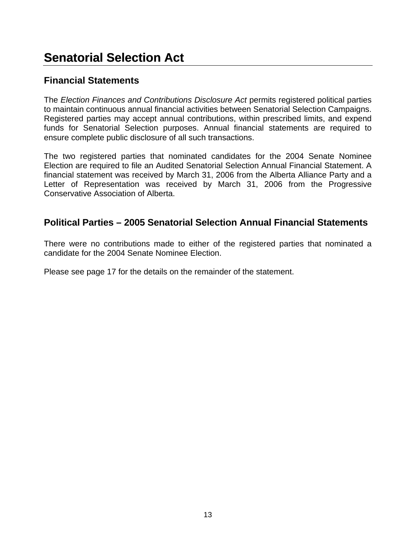## **Senatorial Selection Act**

### **Financial Statements**

The *Election Finances and Contributions Disclosure Act* permits registered political parties to maintain continuous annual financial activities between Senatorial Selection Campaigns. Registered parties may accept annual contributions, within prescribed limits, and expend funds for Senatorial Selection purposes. Annual financial statements are required to ensure complete public disclosure of all such transactions.

The two registered parties that nominated candidates for the 2004 Senate Nominee Election are required to file an Audited Senatorial Selection Annual Financial Statement. A financial statement was received by March 31, 2006 from the Alberta Alliance Party and a Letter of Representation was received by March 31, 2006 from the Progressive Conservative Association of Alberta.

### **Political Parties – 2005 Senatorial Selection Annual Financial Statements**

There were no contributions made to either of the registered parties that nominated a candidate for the 2004 Senate Nominee Election.

Please see page 17 for the details on the remainder of the statement.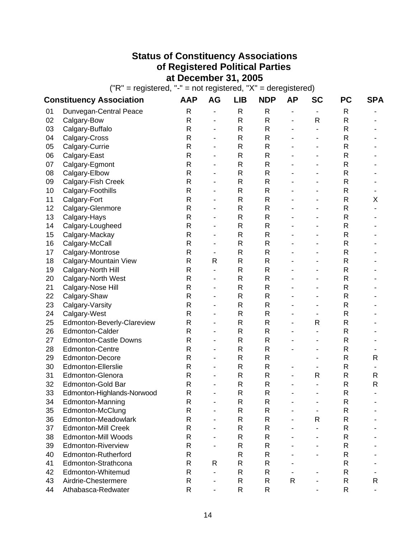## **Status of Constituency Associations of Registered Political Parties at December 31, 2005**

 $("R" = registered, "-" = not registered, "X" = deregistered)$ 

|    | <b>Constituency Association</b> | <b>AAP</b>   | AG                           | LIB | <b>NDP</b>   | ΑР                       | <b>SC</b>      | <b>PC</b>    | <b>SPA</b>     |
|----|---------------------------------|--------------|------------------------------|-----|--------------|--------------------------|----------------|--------------|----------------|
| 01 | Dunvegan-Central Peace          | R            | -                            | R   | R            | $\overline{\phantom{0}}$ | $\blacksquare$ | R            |                |
| 02 | Calgary-Bow                     | R            | $\blacksquare$               | R   | $\mathsf{R}$ | -                        | R              | R            |                |
| 03 | Calgary-Buffalo                 | R            |                              | R   | R            |                          |                | R            |                |
| 04 | Calgary-Cross                   | R            |                              | R   | R            |                          |                | R            |                |
| 05 | Calgary-Currie                  | R            |                              | R   | R            |                          |                | R            |                |
| 06 | Calgary-East                    | R            |                              | R   | R            |                          |                | R            |                |
| 07 | Calgary-Egmont                  | R            |                              | R   | R            |                          |                | R            |                |
| 08 | Calgary-Elbow                   | $\mathsf R$  | $\blacksquare$               | R   | R            |                          |                | R            |                |
| 09 | Calgary-Fish Creek              | R            |                              | R   | R            |                          |                | R            |                |
| 10 | Calgary-Foothills               | R            |                              | R   | R            |                          |                | R            |                |
| 11 | Calgary-Fort                    | R            | $\blacksquare$               | R   | R            |                          |                | R            | Χ              |
| 12 | Calgary-Glenmore                | R            | ÷                            | R   | R            |                          |                | R            |                |
| 13 | Calgary-Hays                    | R            |                              | R   | R            |                          |                | R            |                |
| 14 | Calgary-Lougheed                | R            |                              | R   | R            |                          |                | R            |                |
| 15 | Calgary-Mackay                  | R            | ä,                           | R   | R            |                          |                | R            |                |
| 16 | Calgary-McCall                  | R            |                              | R   | R            |                          |                | R            |                |
| 17 | Calgary-Montrose                | R            |                              | R   | R            |                          |                | R            |                |
| 18 | Calgary-Mountain View           | R            | R                            | R   | R            |                          |                | R            |                |
| 19 | Calgary-North Hill              | R            | ÷                            | R   | R.           |                          |                | R            |                |
| 20 | Calgary-North West              | R            | ۰                            | R   | R            |                          |                | R            |                |
| 21 | Calgary-Nose Hill               | R            | ä,                           | R   | R            |                          |                | R            |                |
| 22 | Calgary-Shaw                    | R            | ÷                            | R   | R            |                          |                | R            |                |
| 23 | Calgary-Varsity                 | R            | ÷                            | R   | R            |                          |                | R            |                |
| 24 | Calgary-West                    | R            | $\blacksquare$               | R   | R            |                          |                | R            |                |
| 25 | Edmonton-Beverly-Clareview      | R            |                              | R   | R            |                          | R              | R            |                |
| 26 | <b>Edmonton-Calder</b>          | R            | ۰                            | R   | R            |                          |                | R            |                |
| 27 | <b>Edmonton-Castle Downs</b>    | $\mathsf R$  | $\blacksquare$               | R   | R            |                          |                | R            |                |
| 28 | <b>Edmonton-Centre</b>          | R            |                              | R   | R            |                          |                | R            |                |
| 29 | Edmonton-Decore                 | R            |                              | R   | R            |                          |                | R            | $\mathsf{R}$   |
| 30 | Edmonton-Ellerslie              | R            |                              | R   | R            | $\blacksquare$           |                | R            |                |
| 31 | Edmonton-Glenora                | $\mathsf{R}$ |                              | R   | R            |                          | R              | R            | R              |
| 32 | Edmonton-Gold Bar               | R            |                              | R   | R            |                          |                | R            | $\sf R$        |
| 33 | Edmonton-Highlands-Norwood      | R            | $\blacksquare$               | R   | R            |                          |                | R            | $\blacksquare$ |
| 34 | Edmonton-Manning                | R            | $\qquad \qquad \blacksquare$ | R   | R            |                          |                | ${\sf R}$    |                |
| 35 | Edmonton-McClung                | R            |                              | R   | R            |                          |                | R            |                |
| 36 | Edmonton-Meadowlark             | R            |                              | R   | R            |                          | R              | R            |                |
| 37 | <b>Edmonton-Mill Creek</b>      | R            |                              | R   | R            |                          |                | R            |                |
| 38 | <b>Edmonton-Mill Woods</b>      | R            |                              | R   | R            |                          |                | $\mathsf{R}$ |                |
| 39 | <b>Edmonton-Riverview</b>       | R            |                              | R   | R            |                          |                | $\mathsf{R}$ |                |
| 40 | Edmonton-Rutherford             | R            |                              | R   | R            |                          |                | $\sf R$      |                |
| 41 | Edmonton-Strathcona             | R            | R                            | R   | R            |                          |                | R            |                |
| 42 | Edmonton-Whitemud               | R            | $\blacksquare$               | R   | R            |                          |                | $\mathsf{R}$ |                |
| 43 | Airdrie-Chestermere             | R            |                              | R   | R            | R                        |                | ${\sf R}$    | R              |
| 44 | Athabasca-Redwater              | R            |                              | R   | R            |                          |                | R            |                |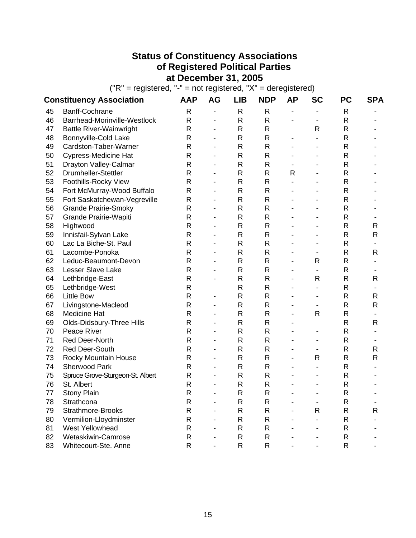## **Status of Constituency Associations of Registered Political Parties at December 31, 2005**

 $("R" = registered, "-" = not registered, "X" = deregistered)$ 

|    | <b>Constituency Association</b>  | AAP         | <b>AG</b>                | LIB          | <b>NDP</b>   | ΑP                           | <b>SC</b>                | <b>PC</b>    | <b>SPA</b>   |
|----|----------------------------------|-------------|--------------------------|--------------|--------------|------------------------------|--------------------------|--------------|--------------|
| 45 | Banff-Cochrane                   | R           | -                        | R            | R            | $\qquad \qquad \blacksquare$ |                          | R            |              |
| 46 | Barrhead-Morinville-Westlock     | R           | $\blacksquare$           | R            | R            | $\overline{\phantom{0}}$     | -                        | $\mathsf{R}$ |              |
| 47 | <b>Battle River-Wainwright</b>   | R           | $\blacksquare$           | $\mathsf{R}$ | R            |                              | R                        | $\mathsf{R}$ |              |
| 48 | Bonnyville-Cold Lake             | R           |                          | R            | $\mathsf{R}$ | $\qquad \qquad \blacksquare$ |                          | R            |              |
| 49 | Cardston-Taber-Warner            | R           |                          | R            | R            |                              |                          | R            |              |
| 50 | <b>Cypress-Medicine Hat</b>      | R           |                          | R            | R            |                              |                          | R            |              |
| 51 | Drayton Valley-Calmar            | R           |                          | R            | R            |                              |                          | R            |              |
| 52 | <b>Drumheller-Stettler</b>       | R           | $\overline{\phantom{0}}$ | R            | R            | R                            |                          | R            |              |
| 53 | Foothills-Rocky View             | R           | $\blacksquare$           | $\mathsf{R}$ | R            |                              |                          | R            |              |
| 54 | Fort McMurray-Wood Buffalo       | $\mathsf R$ | ÷,                       | R            | R            |                              |                          | R            |              |
| 55 | Fort Saskatchewan-Vegreville     | R           | $\blacksquare$           | R            | R            |                              |                          | R            |              |
| 56 | <b>Grande Prairie-Smoky</b>      | R           | $\blacksquare$           | R            | R            |                              |                          | R            |              |
| 57 | Grande Prairie-Wapiti            | R           | $\blacksquare$           | R            | R            |                              |                          | R            |              |
| 58 | Highwood                         | R           | $\overline{\phantom{0}}$ | R            | R            |                              |                          | R            | R            |
| 59 | Innisfail-Sylvan Lake            | R           | $\blacksquare$           | $\mathsf R$  | $\mathsf{R}$ |                              |                          | $\mathsf R$  | R            |
| 60 | Lac La Biche-St. Paul            | R           | ÷                        | $\mathsf{R}$ | R            |                              |                          | $\mathsf{R}$ |              |
| 61 | Lacombe-Ponoka                   | R           |                          | R            | R            |                              |                          | R            | R            |
| 62 | Leduc-Beaumont-Devon             | R           | ÷.                       | R            | R            | $\blacksquare$               | R                        | R            |              |
| 63 | Lesser Slave Lake                | R           |                          | R            | R            |                              |                          | R            |              |
| 64 | Lethbridge-East                  | R           |                          | R            | R            | $\blacksquare$               | R                        | R            | R            |
| 65 | Lethbridge-West                  | $\mathsf R$ |                          | R            | R            |                              | $\overline{\phantom{0}}$ | R            |              |
| 66 | <b>Little Bow</b>                | R           | ä,                       | R            | R            |                              |                          | R            | R            |
| 67 | Livingstone-Macleod              | R           | $\blacksquare$           | R            | R            | $\blacksquare$               |                          | R            | $\mathsf{R}$ |
| 68 | <b>Medicine Hat</b>              | R           | ÷.                       | R            | R            | $\blacksquare$               | R                        | R            |              |
| 69 | Olds-Didsbury-Three Hills        | R           | $\overline{\phantom{0}}$ | R            | R            |                              |                          | R            | R            |
| 70 | Peace River                      | $\mathsf R$ | $\overline{\phantom{0}}$ | R            | R            | $\qquad \qquad \blacksquare$ | $\blacksquare$           | R            |              |
| 71 | <b>Red Deer-North</b>            | R           | $\overline{a}$           | R            | R            | $\blacksquare$               |                          | R            |              |
| 72 | Red Deer-South                   | R           |                          | R            | R            |                              |                          | $\mathsf{R}$ | R            |
| 73 | Rocky Mountain House             | R           |                          | R            | R            |                              | R                        | $\mathsf{R}$ | $\mathsf{R}$ |
| 74 | <b>Sherwood Park</b>             | R           | $\blacksquare$           | R            | R            |                              |                          | R            |              |
| 75 | Spruce Grove-Sturgeon-St. Albert | R           |                          | R            | R            |                              |                          | R            |              |
| 76 | St. Albert                       | R           |                          | R            | R            |                              |                          | R            |              |
| 77 | Stony Plain                      | R           |                          | R            | $\mathsf{R}$ |                              |                          | R            |              |
| 78 | Strathcona                       | R           |                          | R            | R            |                              | $\overline{\phantom{a}}$ | R            |              |
| 79 | Strathmore-Brooks                | R           |                          | R            | R            |                              | R                        | ${\sf R}$    | $\mathsf{R}$ |
| 80 | Vermilion-Lloydminster           | R           |                          | R            | R            |                              |                          | R            |              |
| 81 | West Yellowhead                  | R           |                          | R            | R            |                              |                          | R            |              |
| 82 | Wetaskiwin-Camrose               | R           |                          | R            | R            |                              |                          | R            |              |
| 83 | Whitecourt-Ste. Anne             | R           |                          | R            | R            |                              |                          | R            |              |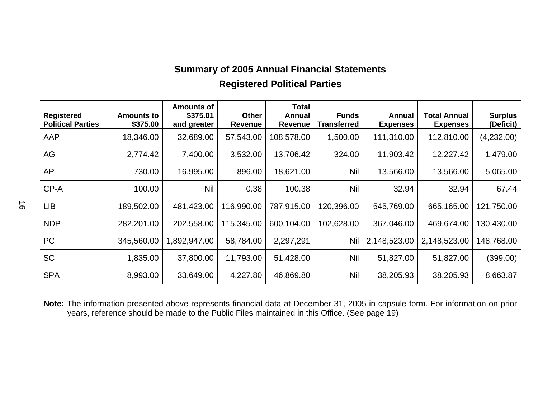## **Summary of 2005 Annual Financial Statements Registered Political Parties**

| Registered<br><b>Political Parties</b> | Amounts to<br>\$375.00 | <b>Amounts of</b><br>\$375.01<br>and greater | Other<br>Revenue | <b>Total</b><br>Annual<br><b>Revenue</b> | <b>Funds</b><br><b>Transferred</b> | Annual<br><b>Expenses</b> | Total Annual<br><b>Expenses</b> | <b>Surplus</b><br>(Deficit) |
|----------------------------------------|------------------------|----------------------------------------------|------------------|------------------------------------------|------------------------------------|---------------------------|---------------------------------|-----------------------------|
| AAP                                    | 18,346.00              | 32,689.00                                    | 57,543.00        | 108,578.00                               | 1,500.00                           | 111,310.00                | 112,810.00                      | (4,232.00)                  |
| AG                                     | 2,774.42               | 7,400.00                                     | 3,532.00         | 13,706.42                                | 324.00                             | 11,903.42                 | 12,227.42                       | 1,479.00                    |
| AP                                     | 730.00                 | 16,995.00                                    | 896.00           | 18,621.00                                | <b>Nil</b>                         | 13,566.00                 | 13,566.00                       | 5,065.00                    |
| CP-A                                   | 100.00                 | <b>Nil</b>                                   | 0.38             | 100.38                                   | Nil                                | 32.94                     | 32.94                           | 67.44                       |
| <b>LIB</b>                             | 189,502.00             | 481,423.00                                   | 116,990.00       | 787,915.00                               | 120,396.00                         | 545,769.00                | 665,165.00                      | 121,750.00                  |
| <b>NDP</b>                             | 282,201.00             | 202,558.00                                   | 115,345.00       | 600,104.00                               | 102,628.00                         | 367,046.00                | 469,674.00                      | 130,430.00                  |
| <b>PC</b>                              | 345,560.00             | 1,892,947.00                                 | 58,784.00        | 2,297,291                                | Nil                                | 2,148,523.00              | 2,148,523.00                    | 148,768.00                  |
| <b>SC</b>                              | 1,835.00               | 37,800.00                                    | 11,793.00        | 51,428.00                                | Nil                                | 51,827.00                 | 51,827.00                       | (399.00)                    |
| <b>SPA</b>                             | 8,993.00               | 33,649.00                                    | 4,227.80         | 46,869.80                                | Nil                                | 38,205.93                 | 38,205.93                       | 8,663.87                    |

**Note:** The information presented above represents financial data at December 31, 2005 in capsule form. For information on prior years, reference should be made to the Public Files maintained in this Office. (See page 19)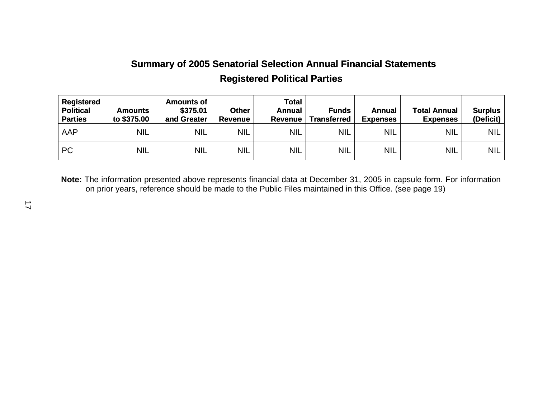## **Summary of 2005 Senatorial Selection Annual Financial Statements Registered Political Parties**

| <b>Registered</b><br><b>Political</b><br><b>Parties</b> | Amounts<br>to \$375.00 | <b>Amounts of</b><br>\$375.01<br>and Greater | <b>Other</b><br><b>Revenue</b> | <b>Total</b><br>Annual<br><b>Revenue</b> | <b>Funds</b><br>Transferred | Annual<br><b>Expenses</b> | <b>Total Annual</b><br><b>Expenses</b> | <b>Surplus</b><br>(Deficit) |
|---------------------------------------------------------|------------------------|----------------------------------------------|--------------------------------|------------------------------------------|-----------------------------|---------------------------|----------------------------------------|-----------------------------|
| AAP                                                     | <b>NIL</b>             | <b>NIL</b>                                   | <b>NIL</b>                     | <b>NIL</b>                               | <b>NIL</b>                  | <b>NIL</b>                | <b>NIL</b>                             | <b>NIL</b>                  |
| <b>PC</b>                                               | <b>NIL</b>             | <b>NIL</b>                                   | <b>NIL</b>                     | <b>NIL</b>                               | <b>NIL</b>                  | <b>NIL</b>                | <b>NIL</b>                             | <b>NIL</b>                  |

**Note:** The information presented above represents financial data at December 31, 2005 in capsule form. For information on prior years, reference should be made to the Public Files maintained in this Office. (see page 19)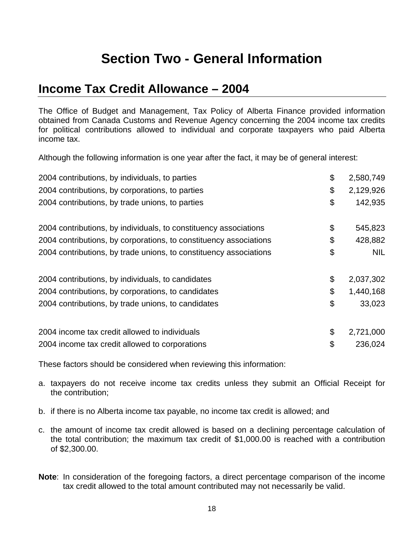## **Section Two - General Information**

## **Income Tax Credit Allowance – 2004**

The Office of Budget and Management, Tax Policy of Alberta Finance provided information obtained from Canada Customs and Revenue Agency concerning the 2004 income tax credits for political contributions allowed to individual and corporate taxpayers who paid Alberta income tax.

Although the following information is one year after the fact, it may be of general interest:

| 2004 contributions, by individuals, to parties                    | \$<br>2,580,749  |
|-------------------------------------------------------------------|------------------|
| 2004 contributions, by corporations, to parties                   | \$<br>2,129,926  |
| 2004 contributions, by trade unions, to parties                   | \$<br>142,935    |
| 2004 contributions, by individuals, to constituency associations  | \$<br>545,823    |
| 2004 contributions, by corporations, to constituency associations | \$<br>428,882    |
| 2004 contributions, by trade unions, to constituency associations | \$<br><b>NIL</b> |
| 2004 contributions, by individuals, to candidates                 | \$<br>2,037,302  |
| 2004 contributions, by corporations, to candidates                | \$<br>1,440,168  |
| 2004 contributions, by trade unions, to candidates                | \$<br>33,023     |
| 2004 income tax credit allowed to individuals                     | \$<br>2,721,000  |
| 2004 income tax credit allowed to corporations                    | \$<br>236,024    |

These factors should be considered when reviewing this information:

- a. taxpayers do not receive income tax credits unless they submit an Official Receipt for the contribution;
- b. if there is no Alberta income tax payable, no income tax credit is allowed; and
- c. the amount of income tax credit allowed is based on a declining percentage calculation of the total contribution; the maximum tax credit of \$1,000.00 is reached with a contribution of \$2,300.00.
- **Note**: In consideration of the foregoing factors, a direct percentage comparison of the income tax credit allowed to the total amount contributed may not necessarily be valid.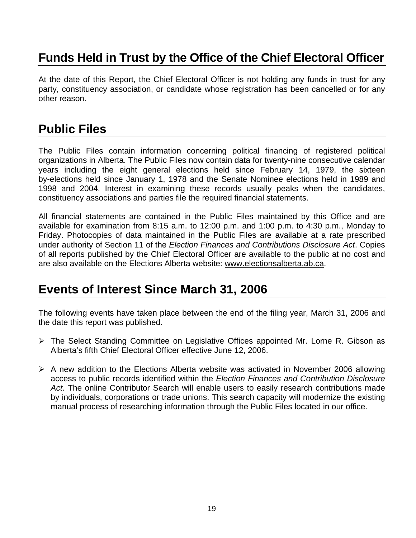## **Funds Held in Trust by the Office of the Chief Electoral Officer**

At the date of this Report, the Chief Electoral Officer is not holding any funds in trust for any party, constituency association, or candidate whose registration has been cancelled or for any other reason.

## **Public Files**

The Public Files contain information concerning political financing of registered political organizations in Alberta. The Public Files now contain data for twenty-nine consecutive calendar years including the eight general elections held since February 14, 1979, the sixteen by-elections held since January 1, 1978 and the Senate Nominee elections held in 1989 and 1998 and 2004. Interest in examining these records usually peaks when the candidates, constituency associations and parties file the required financial statements.

All financial statements are contained in the Public Files maintained by this Office and are available for examination from 8:15 a.m. to 12:00 p.m. and 1:00 p.m. to 4:30 p.m., Monday to Friday. Photocopies of data maintained in the Public Files are available at a rate prescribed under authority of Section 11 of the *Election Finances and Contributions Disclosure Act*. Copies of all reports published by the Chief Electoral Officer are available to the public at no cost and are also available on the Elections Alberta website: [www.electionsalberta.ab.ca.](http://www.electionsalberta.ab.ca/)

## **Events of Interest Since March 31, 2006**

The following events have taken place between the end of the filing year, March 31, 2006 and the date this report was published.

- ¾ The Select Standing Committee on Legislative Offices appointed Mr. Lorne R. Gibson as Alberta's fifth Chief Electoral Officer effective June 12, 2006.
- $\triangleright$  A new addition to the Elections Alberta website was activated in November 2006 allowing access to public records identified within the *Election Finances and Contribution Disclosure Act*. The online Contributor Search will enable users to easily research contributions made by individuals, corporations or trade unions. This search capacity will modernize the existing manual process of researching information through the Public Files located in our office.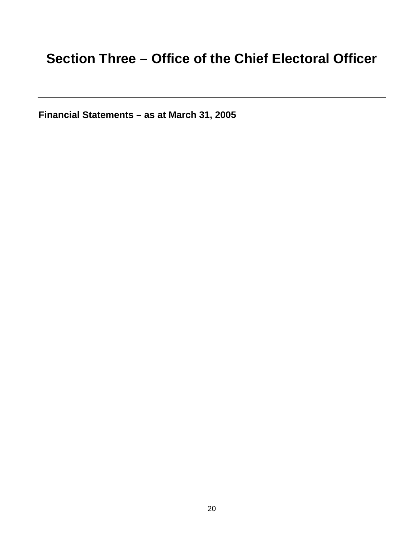## **Section Three – Office of the Chief Electoral Officer**

**Financial Statements – as at March 31, 2005**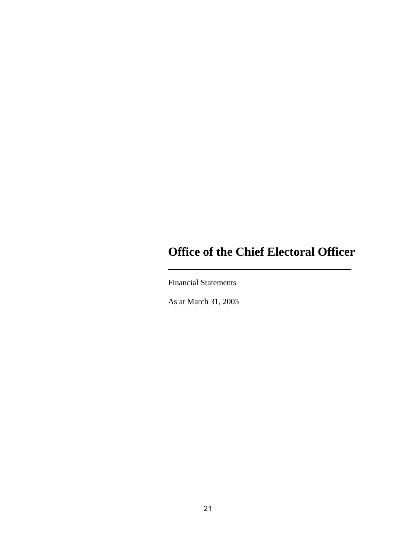## **Office of the Chief Electoral Officer**

Financial Statements

As at March 31, 2005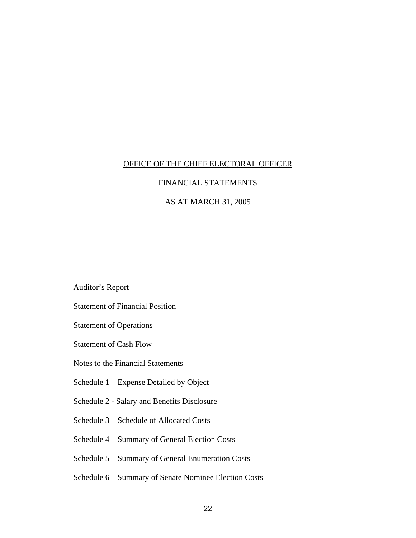### FINANCIAL STATEMENTS

### AS AT MARCH 31, 2005

Auditor's Report

Statement of Financial Position

Statement of Operations

Statement of Cash Flow

Notes to the Financial Statements

Schedule 1 – Expense Detailed by Object

Schedule 2 - Salary and Benefits Disclosure

Schedule 3 – Schedule of Allocated Costs

Schedule 4 – Summary of General Election Costs

Schedule 5 – Summary of General Enumeration Costs

Schedule 6 – Summary of Senate Nominee Election Costs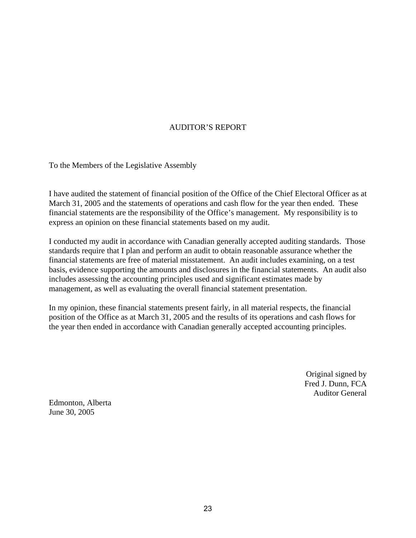### AUDITOR'S REPORT

To the Members of the Legislative Assembly

I have audited the statement of financial position of the Office of the Chief Electoral Officer as at March 31, 2005 and the statements of operations and cash flow for the year then ended. These financial statements are the responsibility of the Office's management. My responsibility is to express an opinion on these financial statements based on my audit.

I conducted my audit in accordance with Canadian generally accepted auditing standards. Those standards require that I plan and perform an audit to obtain reasonable assurance whether the financial statements are free of material misstatement. An audit includes examining, on a test basis, evidence supporting the amounts and disclosures in the financial statements. An audit also includes assessing the accounting principles used and significant estimates made by management, as well as evaluating the overall financial statement presentation.

In my opinion, these financial statements present fairly, in all material respects, the financial position of the Office as at March 31, 2005 and the results of its operations and cash flows for the year then ended in accordance with Canadian generally accepted accounting principles.

> Original signed by Fred J. Dunn, FCA Auditor General

Edmonton, Alberta June 30, 2005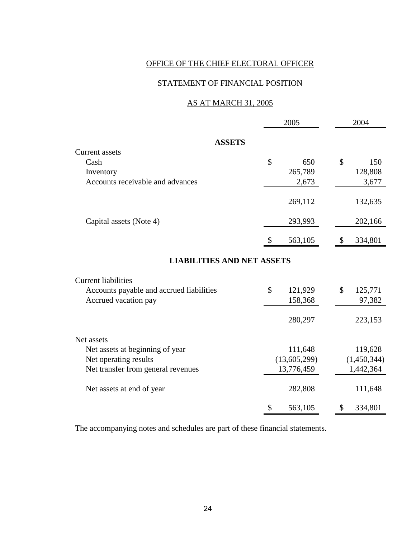### STATEMENT OF FINANCIAL POSITION

### AS AT MARCH 31, 2005

|                                          |    | 2005         |    | 2004        |
|------------------------------------------|----|--------------|----|-------------|
| <b>ASSETS</b>                            |    |              |    |             |
| Current assets                           |    |              |    |             |
| Cash                                     | \$ | 650          | \$ | 150         |
| Inventory                                |    | 265,789      |    | 128,808     |
| Accounts receivable and advances         |    | 2,673        |    | 3,677       |
|                                          |    | 269,112      |    | 132,635     |
| Capital assets (Note 4)                  |    | 293,993      |    | 202,166     |
|                                          | S  | 563,105      | \$ | 334,801     |
| <b>LIABILITIES AND NET ASSETS</b>        |    |              |    |             |
| <b>Current liabilities</b>               |    |              |    |             |
| Accounts payable and accrued liabilities | \$ | 121,929      | \$ | 125,771     |
| Accrued vacation pay                     |    | 158,368      |    | 97,382      |
|                                          |    | 280,297      |    | 223,153     |
| Net assets                               |    |              |    |             |
| Net assets at beginning of year          |    | 111,648      |    | 119,628     |
| Net operating results                    |    | (13,605,299) |    | (1,450,344) |
| Net transfer from general revenues       |    | 13,776,459   |    | 1,442,364   |
| Net assets at end of year                |    | 282,808      |    | 111,648     |
|                                          | \$ | 563,105      | \$ | 334,801     |

The accompanying notes and schedules are part of these financial statements.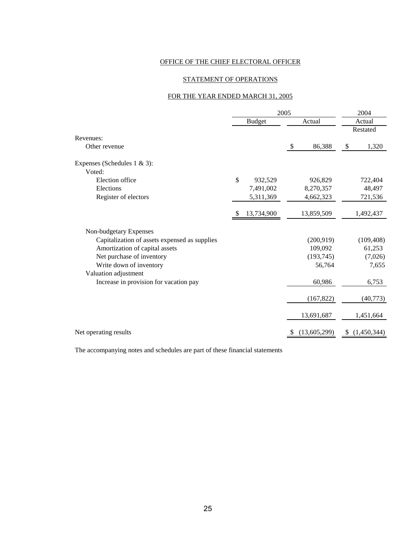### STATEMENT OF OPERATIONS

### FOR THE YEAR ENDED MARCH 31, 2005

|                                               | 2005          |            |               |              |        | 2004        |  |
|-----------------------------------------------|---------------|------------|---------------|--------------|--------|-------------|--|
|                                               | <b>Budget</b> |            | Actual        |              | Actual |             |  |
|                                               |               |            |               |              |        | Restated    |  |
| Revenues:                                     |               |            |               |              |        |             |  |
| Other revenue                                 |               |            | $\sqrt[6]{3}$ | 86,388       | \$     | 1,320       |  |
| Expenses (Schedules $1 \& 3$ ):               |               |            |               |              |        |             |  |
| Voted:                                        |               |            |               |              |        |             |  |
| Election office                               | \$            | 932,529    |               | 926,829      |        | 722,404     |  |
| Elections                                     |               | 7,491,002  |               | 8,270,357    |        | 48,497      |  |
| Register of electors                          |               | 5,311,369  |               | 4,662,323    |        | 721,536     |  |
|                                               | \$            | 13,734,900 |               | 13,859,509   |        | 1,492,437   |  |
| Non-budgetary Expenses                        |               |            |               |              |        |             |  |
| Capitalization of assets expensed as supplies |               |            |               | (200, 919)   |        | (109, 408)  |  |
| Amortization of capital assets                |               |            |               | 109,092      |        | 61,253      |  |
| Net purchase of inventory                     |               |            |               | (193, 745)   |        | (7,026)     |  |
| Write down of inventory                       |               |            |               | 56,764       |        | 7,655       |  |
| Valuation adjustment                          |               |            |               |              |        |             |  |
| Increase in provision for vacation pay        |               |            |               | 60,986       |        | 6,753       |  |
|                                               |               |            |               | (167, 822)   |        | (40, 773)   |  |
|                                               |               |            |               | 13,691,687   |        | 1,451,664   |  |
| Net operating results                         |               |            | \$            | (13,605,299) | \$     | (1,450,344) |  |

The accompanying notes and schedules are part of these financial statements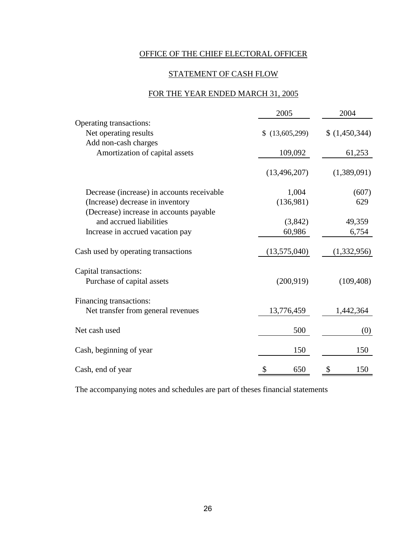### STATEMENT OF CASH FLOW

### FOR THE YEAR ENDED MARCH 31, 2005

|                                            | 2005           | 2004        |
|--------------------------------------------|----------------|-------------|
| Operating transactions:                    |                |             |
| Net operating results                      | (13,605,299)   | (1,450,344) |
| Add non-cash charges                       |                |             |
| Amortization of capital assets             | 109,092        | 61,253      |
|                                            | (13, 496, 207) | (1,389,091) |
| Decrease (increase) in accounts receivable | 1,004          | (607)       |
| (Increase) decrease in inventory           | (136,981)      | 629         |
| (Decrease) increase in accounts payable    |                |             |
| and accrued liabilities                    | (3,842)        | 49,359      |
| Increase in accrued vacation pay           | 60,986         | 6,754       |
| Cash used by operating transactions        | (13,575,040)   | (1,332,956) |
| Capital transactions:                      |                |             |
| Purchase of capital assets                 | (200, 919)     | (109, 408)  |
| Financing transactions:                    |                |             |
| Net transfer from general revenues         | 13,776,459     | 1,442,364   |
| Net cash used                              | 500            | (0)         |
| Cash, beginning of year                    | 150            | 150         |
| Cash, end of year                          | \$<br>650      | \$<br>150   |

The accompanying notes and schedules are part of theses financial statements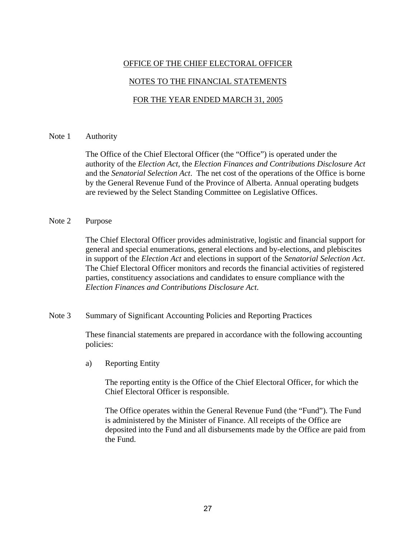### NOTES TO THE FINANCIAL STATEMENTS

### FOR THE YEAR ENDED MARCH 31, 2005

#### Note 1 Authority

The Office of the Chief Electoral Officer (the "Office") is operated under the authority of the *Election Act*, the *Election Finances and Contributions Disclosure Act* and the *Senatorial Selection Act*. The net cost of the operations of the Office is borne by the General Revenue Fund of the Province of Alberta. Annual operating budgets are reviewed by the Select Standing Committee on Legislative Offices.

### Note 2 Purpose

The Chief Electoral Officer provides administrative, logistic and financial support for general and special enumerations, general elections and by-elections, and plebiscites in support of the *Election Act* and elections in support of the *Senatorial Selection Act*. The Chief Electoral Officer monitors and records the financial activities of registered parties, constituency associations and candidates to ensure compliance with the *Election Finances and Contributions Disclosure Act*.

#### Note 3 Summary of Significant Accounting Policies and Reporting Practices

These financial statements are prepared in accordance with the following accounting policies:

a) Reporting Entity

The reporting entity is the Office of the Chief Electoral Officer, for which the Chief Electoral Officer is responsible.

The Office operates within the General Revenue Fund (the "Fund"). The Fund is administered by the Minister of Finance. All receipts of the Office are deposited into the Fund and all disbursements made by the Office are paid from the Fund.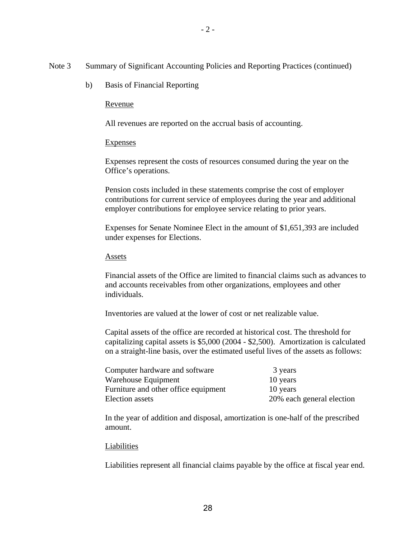- Note 3 Summary of Significant Accounting Policies and Reporting Practices (continued)
	- b) Basis of Financial Reporting

#### Revenue

All revenues are reported on the accrual basis of accounting.

#### **Expenses**

 Expenses represent the costs of resources consumed during the year on the Office's operations.

 Pension costs included in these statements comprise the cost of employer contributions for current service of employees during the year and additional employer contributions for employee service relating to prior years.

Expenses for Senate Nominee Elect in the amount of \$1,651,393 are included under expenses for Elections.

#### Assets

Financial assets of the Office are limited to financial claims such as advances to and accounts receivables from other organizations, employees and other individuals.

Inventories are valued at the lower of cost or net realizable value.

Capital assets of the office are recorded at historical cost. The threshold for capitalizing capital assets is \$5,000 (2004 - \$2,500). Amortization is calculated on a straight-line basis, over the estimated useful lives of the assets as follows:

| Computer hardware and software       | 3 years                   |
|--------------------------------------|---------------------------|
| Warehouse Equipment                  | 10 years                  |
| Furniture and other office equipment | 10 years                  |
| Election assets                      | 20% each general election |

In the year of addition and disposal, amortization is one-half of the prescribed amount.

#### Liabilities

Liabilities represent all financial claims payable by the office at fiscal year end.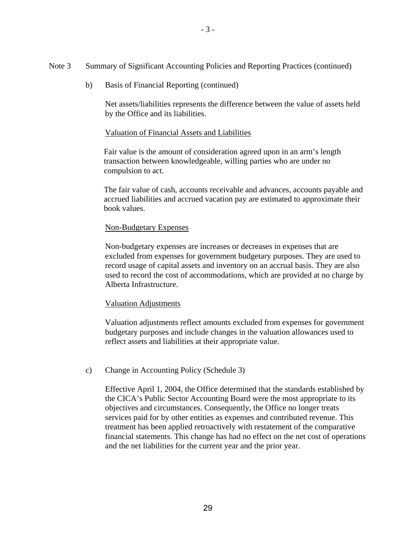b) Basis of Financial Reporting (continued)

Net assets/liabilities represents the difference between the value of assets held by the Office and its liabilities.

### Valuation of Financial Assets and Liabilities

Fair value is the amount of consideration agreed upon in an arm's length transaction between knowledgeable, willing parties who are under no compulsion to act.

The fair value of cash, accounts receivable and advances, accounts payable and accrued liabilities and accrued vacation pay are estimated to approximate their book values.

### Non-Budgetary Expenses

Non-budgetary expenses are increases or decreases in expenses that are excluded from expenses for government budgetary purposes. They are used to record usage of capital assets and inventory on an accrual basis. They are also used to record the cost of accommodations, which are provided at no charge by Alberta Infrastructure.

### Valuation Adjustments

Valuation adjustments reflect amounts excluded from expenses for government budgetary purposes and include changes in the valuation allowances used to reflect assets and liabilities at their appropriate value.

### c) Change in Accounting Policy (Schedule 3)

Effective April 1, 2004, the Office determined that the standards established by the CICA's Public Sector Accounting Board were the most appropriate to its objectives and circumstances. Consequently, the Office no longer treats services paid for by other entities as expenses and contributed revenue. This treatment has been applied retroactively with restatement of the comparative financial statements. This change has had no effect on the net cost of operations and the net liabilities for the current year and the prior year.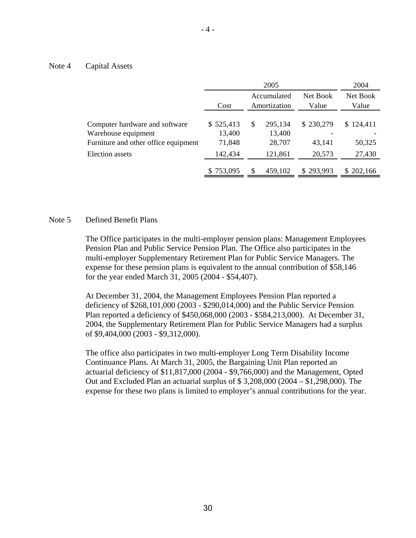#### Note 4 Capital Assets

|                                                       |                     | 2004                        |                   |           |           |  |  |  |  |  |  |                   |                   |
|-------------------------------------------------------|---------------------|-----------------------------|-------------------|-----------|-----------|--|--|--|--|--|--|-------------------|-------------------|
|                                                       | Cost                | Accumulated<br>Amortization |                   |           |           |  |  |  |  |  |  | Net Book<br>Value | Net Book<br>Value |
| Computer hardware and software<br>Warehouse equipment | \$525,413<br>13,400 | \$                          | 295,134<br>13,400 | \$230,279 | \$124,411 |  |  |  |  |  |  |                   |                   |
| Furniture and other office equipment                  | 71,848              |                             | 28,707            | 43,141    | 50,325    |  |  |  |  |  |  |                   |                   |
| <b>Election</b> assets                                | 142,434             |                             | 121,861           | 20,573    | 27,430    |  |  |  |  |  |  |                   |                   |
|                                                       | \$753,095           | \$                          | 459,102           | \$293,993 | \$202,166 |  |  |  |  |  |  |                   |                   |

#### Note 5 Defined Benefit Plans

The Office participates in the multi-employer pension plans: Management Employees Pension Plan and Public Service Pension Plan. The Office also participates in the multi-employer Supplementary Retirement Plan for Public Service Managers. The expense for these pension plans is equivalent to the annual contribution of \$58,146 for the year ended March 31, 2005 (2004 - \$54,407).

At December 31, 2004, the Management Employees Pension Plan reported a deficiency of \$268,101,000 (2003 - \$290,014,000) and the Public Service Pension Plan reported a deficiency of \$450,068,000 (2003 - \$584,213,000). At December 31, 2004, the Supplementary Retirement Plan for Public Service Managers had a surplus of \$9,404,000 (2003 - \$9,312,000).

The office also participates in two multi-employer Long Term Disability Income Continuance Plans. At March 31, 2005, the Bargaining Unit Plan reported an actuarial deficiency of \$11,817,000 (2004 - \$9,766,000) and the Management, Opted Out and Excluded Plan an actuarial surplus of \$ 3,208,000 (2004 – \$1,298,000). The expense for these two plans is limited to employer's annual contributions for the year.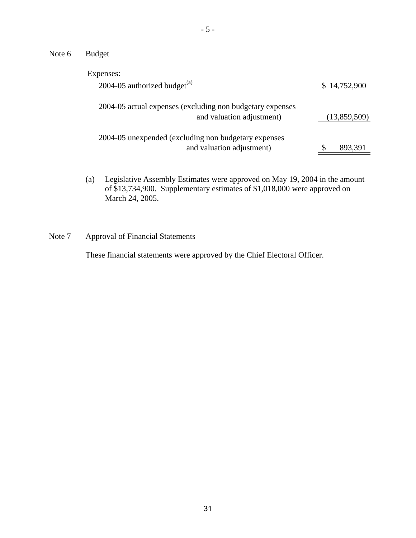Note 6 Budget

| Expenses:                                                                              |              |
|----------------------------------------------------------------------------------------|--------------|
| 2004-05 authorized budget $^{(a)}$                                                     | \$14,752,900 |
| 2004-05 actual expenses (excluding non budgetary expenses<br>and valuation adjustment) | (13,859,509) |
| 2004-05 unexpended (excluding non budgetary expenses<br>and valuation adjustment)      | 893,391      |

(a) Legislative Assembly Estimates were approved on May 19, 2004 in the amount of \$13,734,900. Supplementary estimates of \$1,018,000 were approved on March 24, 2005.

Note 7 Approval of Financial Statements

These financial statements were approved by the Chief Electoral Officer.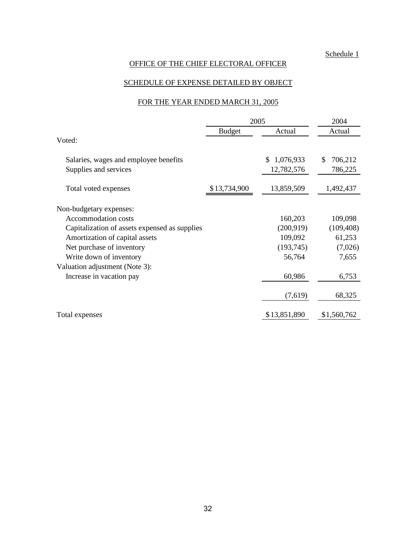### SCHEDULE OF EXPENSE DETAILED BY OBJECT

### FOR THE YEAR ENDED MARCH 31, 2005

|                                               | 2005          | 2004             |               |
|-----------------------------------------------|---------------|------------------|---------------|
|                                               | <b>Budget</b> | Actual           | Actual        |
| Voted:                                        |               |                  |               |
| Salaries, wages and employee benefits         |               | 1,076,933<br>\$. | 706,212<br>\$ |
| Supplies and services                         |               | 12,782,576       | 786,225       |
| Total voted expenses                          | \$13,734,900  | 13,859,509       | 1,492,437     |
| Non-budgetary expenses:                       |               |                  |               |
| Accommodation costs                           |               | 160,203          | 109,098       |
| Capitalization of assets expensed as supplies |               | (200, 919)       | (109, 408)    |
| Amortization of capital assets                |               | 109,092          | 61,253        |
| Net purchase of inventory                     |               | (193, 745)       | (7,026)       |
| Write down of inventory                       |               | 56,764           | 7,655         |
| Valuation adjustment (Note 3):                |               |                  |               |
| Increase in vacation pay                      |               | 60,986           | 6,753         |
|                                               |               | (7,619)          | 68,325        |
| Total expenses                                |               | \$13,851,890     | \$1,560,762   |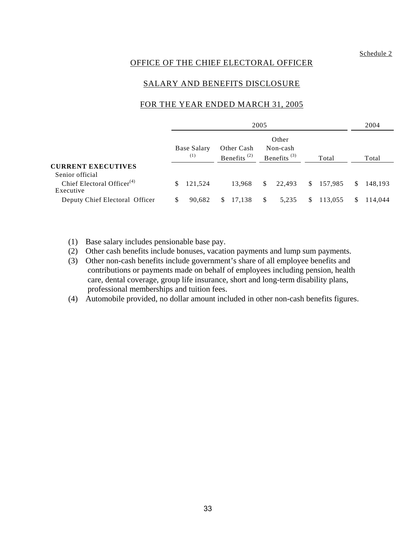### SALARY AND BENEFITS DISCLOSURE

#### FOR THE YEAR ENDED MARCH 31, 2005

|                                                     | 2005 |                    |    |                                                                                                                 |              |        |    |           | 2004         |         |
|-----------------------------------------------------|------|--------------------|----|-----------------------------------------------------------------------------------------------------------------|--------------|--------|----|-----------|--------------|---------|
|                                                     |      | Base Salary<br>(1) |    | Other<br>Non-cash<br>Other Cash<br>Benefits <sup><math>(2)</math></sup><br>Benefits <sup><math>(3)</math></sup> |              |        |    | Total     |              | Total   |
| <b>CURRENT EXECUTIVES</b><br>Senior official        |      |                    |    |                                                                                                                 |              |        |    |           |              |         |
| Chief Electoral Officer <sup>(4)</sup><br>Executive | S.   | 121,524            |    | 13,968                                                                                                          | $\mathbb{S}$ | 22,493 |    | \$157,985 | <sup>S</sup> | 148.193 |
| Deputy Chief Electoral Officer                      | S    | 90,682             | \$ | 17,138                                                                                                          | <sup>S</sup> | 5,235  | \$ | 113,055   | S.           | 114.044 |

- (1) Base salary includes pensionable base pay.
- (2) Other cash benefits include bonuses, vacation payments and lump sum payments.
- (3) Other non-cash benefits include government's share of all employee benefits and contributions or payments made on behalf of employees including pension, health care, dental coverage, group life insurance, short and long-term disability plans, professional memberships and tuition fees.
- (4) Automobile provided, no dollar amount included in other non-cash benefits figures.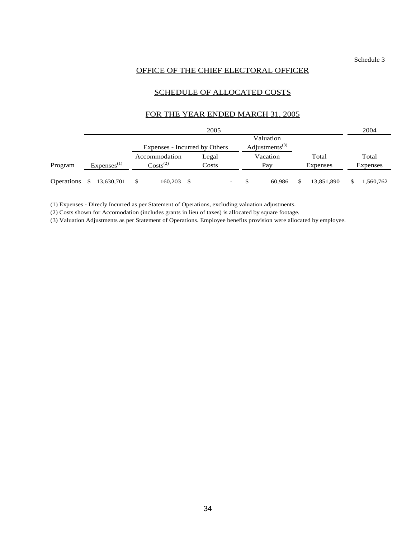#### OFFICE OF THE CHIEF ELECTORAL OFFICER

#### SCHEDULE OF ALLOCATED COSTS

#### FOR THE YEAR ENDED MARCH 31, 2005

|            |    |                        |                               |    | 2005  |   |                            |            | 2004            |
|------------|----|------------------------|-------------------------------|----|-------|---|----------------------------|------------|-----------------|
|            |    |                        |                               |    |       |   | Valuation                  |            |                 |
|            |    |                        | Expenses - Incurred by Others |    |       |   | Adjustments <sup>(3)</sup> |            |                 |
|            |    |                        | Accommodation                 |    | Legal |   | Vacation                   | Total      | Total           |
| Program    |    | Express <sup>(1)</sup> | $\text{Costs}^{(2)}$          |    | Costs |   | Pay                        | Expenses   | <b>Expenses</b> |
| Operations | -S | 13,630,701             | 160,203                       | -S |       | - | 60.986                     | 13,851,890 | \$<br>1,560,762 |

(1) Expenses - Direcly Incurred as per Statement of Operations, excluding valuation adjustments.

(2) Costs shown for Accomodation (includes grants in lieu of taxes) is allocated by square footage.

(3) Valuation Adjustments as per Statement of Operations. Employee benefits provision were allocated by employee.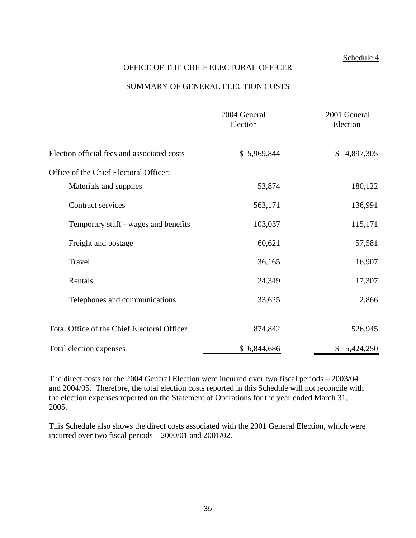### OFFICE OF THE CHIEF ELECTORAL OFFICER

#### SUMMARY OF GENERAL ELECTION COSTS

|                                             | 2004 General<br>Election | 2001 General<br>Election |
|---------------------------------------------|--------------------------|--------------------------|
| Election official fees and associated costs | \$5,969,844              | 4,897,305<br>\$          |
| Office of the Chief Electoral Officer:      |                          |                          |
| Materials and supplies                      | 53,874                   | 180,122                  |
| Contract services                           | 563,171                  | 136,991                  |
| Temporary staff - wages and benefits        | 103,037                  | 115,171                  |
| Freight and postage                         | 60,621                   | 57,581                   |
| Travel                                      | 36,165                   | 16,907                   |
| Rentals                                     | 24,349                   | 17,307                   |
| Telephones and communications               | 33,625                   | 2,866                    |
| Total Office of the Chief Electoral Officer | 874,842                  | 526,945                  |
| Total election expenses                     | \$6,844,686              | \$5,424,250              |

The direct costs for the 2004 General Election were incurred over two fiscal periods – 2003/04 and 2004/05. Therefore, the total election costs reported in this Schedule will not reconcile with the election expenses reported on the Statement of Operations for the year ended March 31, 2005.

This Schedule also shows the direct costs associated with the 2001 General Election, which were incurred over two fiscal periods – 2000/01 and 2001/02.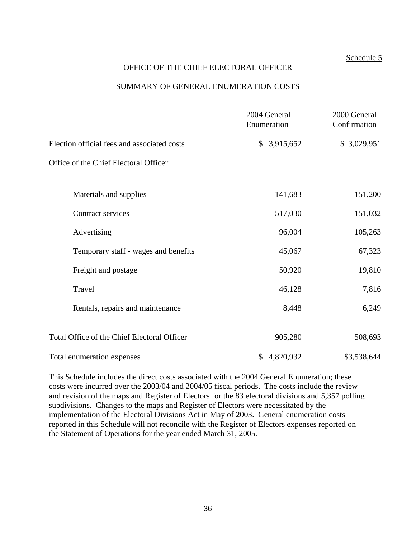### OFFICE OF THE CHIEF ELECTORAL OFFICER

#### SUMMARY OF GENERAL ENUMERATION COSTS

|                                             | 2004 General<br>Enumeration | 2000 General<br>Confirmation |
|---------------------------------------------|-----------------------------|------------------------------|
| Election official fees and associated costs | 3,915,652<br>\$             | \$3,029,951                  |
| Office of the Chief Electoral Officer:      |                             |                              |
| Materials and supplies                      | 141,683                     | 151,200                      |
| Contract services                           | 517,030                     | 151,032                      |
| Advertising                                 | 96,004                      | 105,263                      |
| Temporary staff - wages and benefits        | 45,067                      | 67,323                       |
| Freight and postage                         | 50,920                      | 19,810                       |
| Travel                                      | 46,128                      | 7,816                        |
| Rentals, repairs and maintenance            | 8,448                       | 6,249                        |
| Total Office of the Chief Electoral Officer | 905,280                     | 508,693                      |
| Total enumeration expenses                  | \$4,820,932                 | \$3,538,644                  |

This Schedule includes the direct costs associated with the 2004 General Enumeration; these costs were incurred over the 2003/04 and 2004/05 fiscal periods. The costs include the review and revision of the maps and Register of Electors for the 83 electoral divisions and 5,357 polling subdivisions. Changes to the maps and Register of Electors were necessitated by the implementation of the Electoral Divisions Act in May of 2003. General enumeration costs reported in this Schedule will not reconcile with the Register of Electors expenses reported on the Statement of Operations for the year ended March 31, 2005.